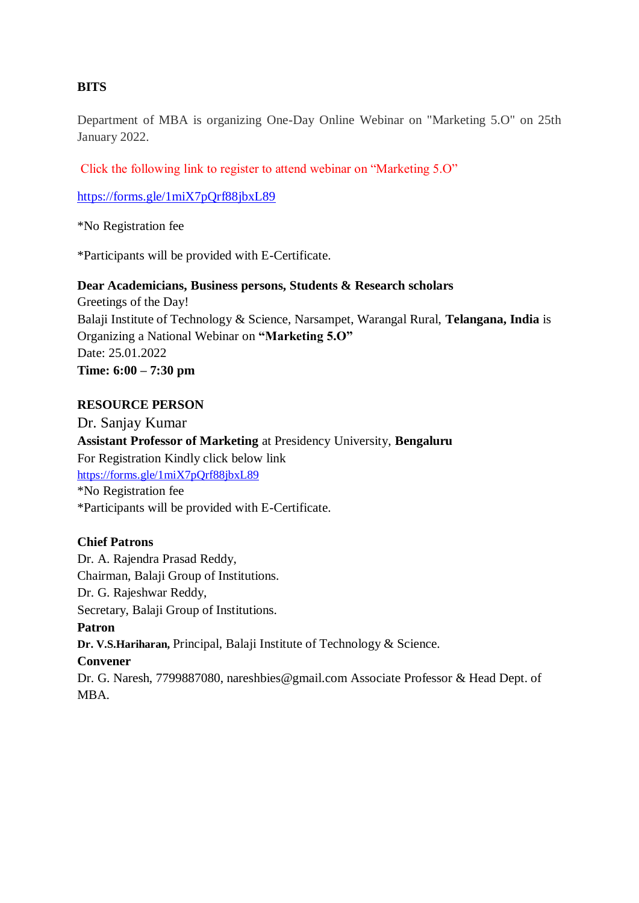#### **BITS**

Department of MBA is organizing One-Day Online Webinar on "Marketing 5.O" on 25th January 2022.

[Click the following link to register to attend webinar on "Marketing 5.O"](https://www.bitswgl.ac.in/bits_admin/newsevents/newsevents_04102020034121.pdf) 

<https://forms.gle/1miX7pQrf88jbxL89>

\*No Registration fee

\*Participants will be provided with E-Certificate.

#### **Dear Academicians, Business persons, Students & Research scholars**

Greetings of the Day! Balaji Institute of Technology & Science, Narsampet, Warangal Rural, **Telangana, India** is Organizing a National Webinar on **"Marketing 5.O"**  Date: 25.01.2022 **Time: 6:00 – 7:30 pm** 

#### **RESOURCE PERSON**

Dr. Sanjay Kumar **Assistant Professor of Marketing** at Presidency University, **Bengaluru**  For Registration Kindly click below link <https://forms.gle/1miX7pQrf88jbxL89> \*No Registration fee \*Participants will be provided with E-Certificate.

#### **Chief Patrons**

Dr. A. Rajendra Prasad Reddy, Chairman, Balaji Group of Institutions. Dr. G. Rajeshwar Reddy, Secretary, Balaji Group of Institutions. **Patron Dr. V.S.Hariharan,** Principal, Balaji Institute of Technology & Science. **Convener**  Dr. G. Naresh, 7799887080, nareshbies@gmail.com Associate Professor & Head Dept. of MBA.